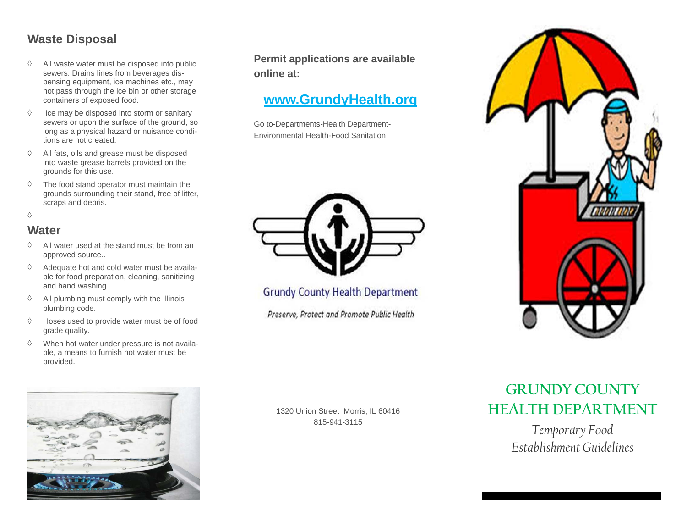#### **Waste Disposal**

- $\Diamond$  All waste water must be disposed into public sewers. Drains lines from beverages dispensing equipment, ice machines etc., may not pass through the ice bin or other storage containers of exposed food.
- $\Diamond$  Ice may be disposed into storm or sanitary sewers or upon the surface of the ground, so long as a physical hazard or nuisance conditions are not created.
- ♦ All fats, oils and grease must be disposed into waste grease barrels provided on the grounds for this use.
- $\Diamond$  The food stand operator must maintain the grounds surrounding their stand, free of litter, scraps and debris.

 $\Diamond$ 

#### **Water**

- $\Diamond$  All water used at the stand must be from an approved source..
- $\Diamond$  Adequate hot and cold water must be available for food preparation, cleaning, sanitizing and hand washing.
- ♦ All plumbing must comply with the Illinois plumbing code.
- $\Diamond$  Hoses used to provide water must be of food grade quality.
- ♦ When hot water under pressure is not available, a means to furnish hot water must be provided.



**Permit applications are available online at:** 

# **www.GrundyHealth.org**

Go to-Departments-Health Department-Environmental Health-Food Sanitation



**Grundy County Health Department** 

Preserve, Protect and Promote Public Health



1320 Union Street Morris, IL 60416 815-941-3115

# **GRUNDY COUNTY HEALTH DEPARTMENT**

*Temporary Food Establishment Guidelines*